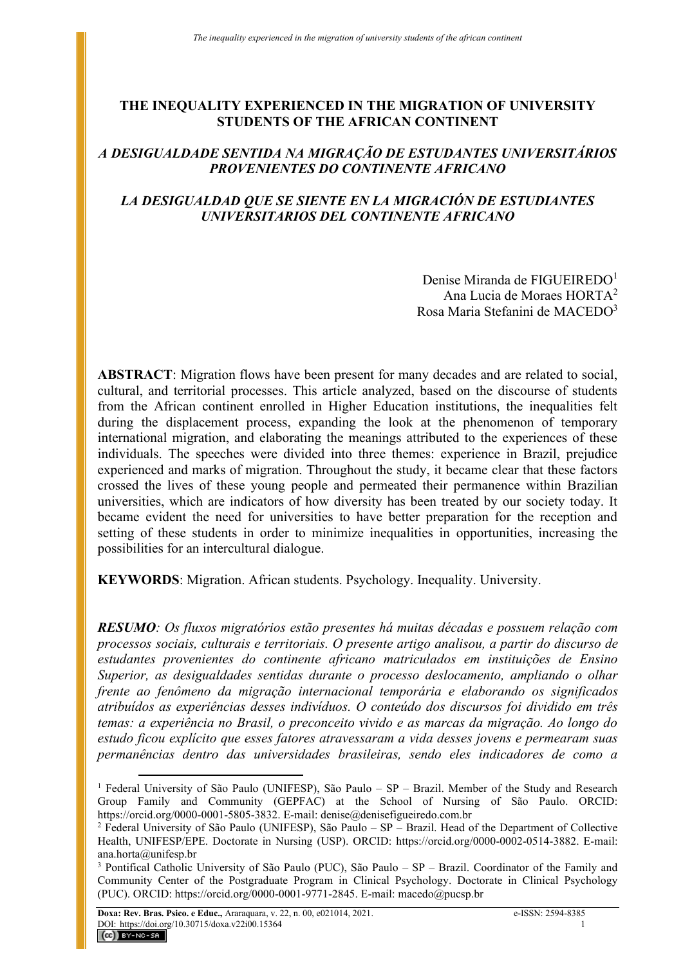# **THE INEQUALITY EXPERIENCED IN THE MIGRATION OF UNIVERSITY STUDENTS OF THE AFRICAN CONTINENT**

# *A DESIGUALDADE SENTIDA NA MIGRAÇÃO DE ESTUDANTES UNIVERSITÁRIOS PROVENIENTES DO CONTINENTE AFRICANO*

# *LA DESIGUALDAD QUE SE SIENTE EN LA MIGRACIÓN DE ESTUDIANTES UNIVERSITARIOS DEL CONTINENTE AFRICANO*

Denise Miranda de FIGUEIREDO<sup>1</sup> Ana Lucia de Moraes HORTA<sup>2</sup> Rosa Maria Stefanini de MACEDO<sup>3</sup>

**ABSTRACT**: Migration flows have been present for many decades and are related to social, cultural, and territorial processes. This article analyzed, based on the discourse of students from the African continent enrolled in Higher Education institutions, the inequalities felt during the displacement process, expanding the look at the phenomenon of temporary international migration, and elaborating the meanings attributed to the experiences of these individuals. The speeches were divided into three themes: experience in Brazil, prejudice experienced and marks of migration. Throughout the study, it became clear that these factors crossed the lives of these young people and permeated their permanence within Brazilian universities, which are indicators of how diversity has been treated by our society today. It became evident the need for universities to have better preparation for the reception and setting of these students in order to minimize inequalities in opportunities, increasing the possibilities for an intercultural dialogue.

**KEYWORDS**: Migration. African students. Psychology. Inequality. University.

*RESUMO: Os fluxos migratórios estão presentes há muitas décadas e possuem relação com processos sociais, culturais e territoriais. O presente artigo analisou, a partir do discurso de estudantes provenientes do continente africano matriculados em instituições de Ensino Superior, as desigualdades sentidas durante o processo deslocamento, ampliando o olhar frente ao fenômeno da migração internacional temporária e elaborando os significados atribuídos as experiências desses indivíduos. O conteúdo dos discursos foi dividido em três temas: a experiência no Brasil, o preconceito vivido e as marcas da migração. Ao longo do estudo ficou explícito que esses fatores atravessaram a vida desses jovens e permearam suas permanências dentro das universidades brasileiras, sendo eles indicadores de como a* 

<sup>1</sup> Federal University of São Paulo (UNIFESP), São Paulo – SP – Brazil. Member of the Study and Research Group Family and Community (GEPFAC) at the School of Nursing of São Paulo. ORCID: https://orcid.org/0000-0001-5805-3832. E-mail: denise@denisefigueiredo.com.br

 $2$  Federal University of São Paulo (UNIFESP), São Paulo – SP – Brazil. Head of the Department of Collective Health, UNIFESP/EPE. Doctorate in Nursing (USP). ORCID: https://orcid.org/0000-0002-0514-3882. E-mail: ana.horta@unifesp.br

<sup>3</sup> Pontifical Catholic University of São Paulo (PUC), São Paulo – SP – Brazil. Coordinator of the Family and Community Center of the Postgraduate Program in Clinical Psychology. Doctorate in Clinical Psychology (PUC). ORCID: https://orcid.org/0000-0001-9771-2845. E-mail: macedo@pucsp.br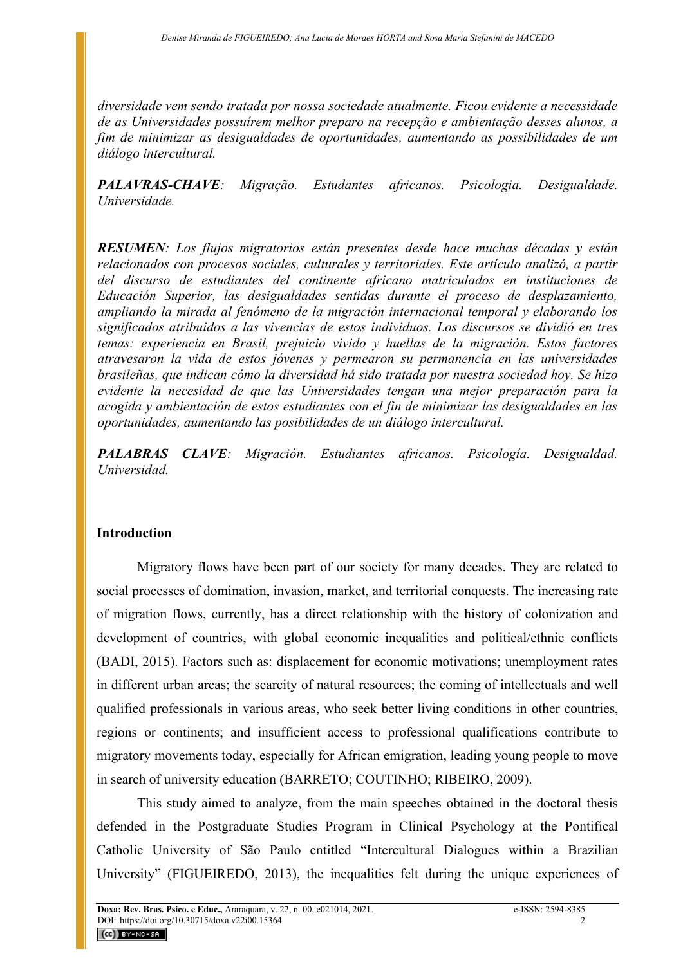*diversidade vem sendo tratada por nossa sociedade atualmente. Ficou evidente a necessidade de as Universidades possuírem melhor preparo na recepção e ambientação desses alunos, a fim de minimizar as desigualdades de oportunidades, aumentando as possibilidades de um diálogo intercultural.*

*PALAVRAS-CHAVE: Migração. Estudantes africanos. Psicologia. Desigualdade. Universidade.*

*RESUMEN: Los flujos migratorios están presentes desde hace muchas décadas y están relacionados con procesos sociales, culturales y territoriales. Este artículo analizó, a partir del discurso de estudiantes del continente africano matriculados en instituciones de Educación Superior, las desigualdades sentidas durante el proceso de desplazamiento, ampliando la mirada al fenómeno de la migración internacional temporal y elaborando los significados atribuidos a las vivencias de estos individuos. Los discursos se dividió en tres temas: experiencia en Brasil, prejuicio vivido y huellas de la migración. Estos factores atravesaron la vida de estos jóvenes y permearon su permanencia en las universidades brasileñas, que indican cómo la diversidad há sido tratada por nuestra sociedad hoy. Se hizo evidente la necesidad de que las Universidades tengan una mejor preparación para la acogida y ambientación de estos estudiantes con el fin de minimizar las desigualdades en las oportunidades, aumentando las posibilidades de un diálogo intercultural.*

*PALABRAS CLAVE: Migración. Estudiantes africanos. Psicología. Desigualdad. Universidad.*

### **Introduction**

Migratory flows have been part of our society for many decades. They are related to social processes of domination, invasion, market, and territorial conquests. The increasing rate of migration flows, currently, has a direct relationship with the history of colonization and development of countries, with global economic inequalities and political/ethnic conflicts (BADI, 2015). Factors such as: displacement for economic motivations; unemployment rates in different urban areas; the scarcity of natural resources; the coming of intellectuals and well qualified professionals in various areas, who seek better living conditions in other countries, regions or continents; and insufficient access to professional qualifications contribute to migratory movements today, especially for African emigration, leading young people to move in search of university education (BARRETO; COUTINHO; RIBEIRO, 2009).

This study aimed to analyze, from the main speeches obtained in the doctoral thesis defended in the Postgraduate Studies Program in Clinical Psychology at the Pontifical Catholic University of São Paulo entitled "Intercultural Dialogues within a Brazilian University" (FIGUEIREDO, 2013), the inequalities felt during the unique experiences of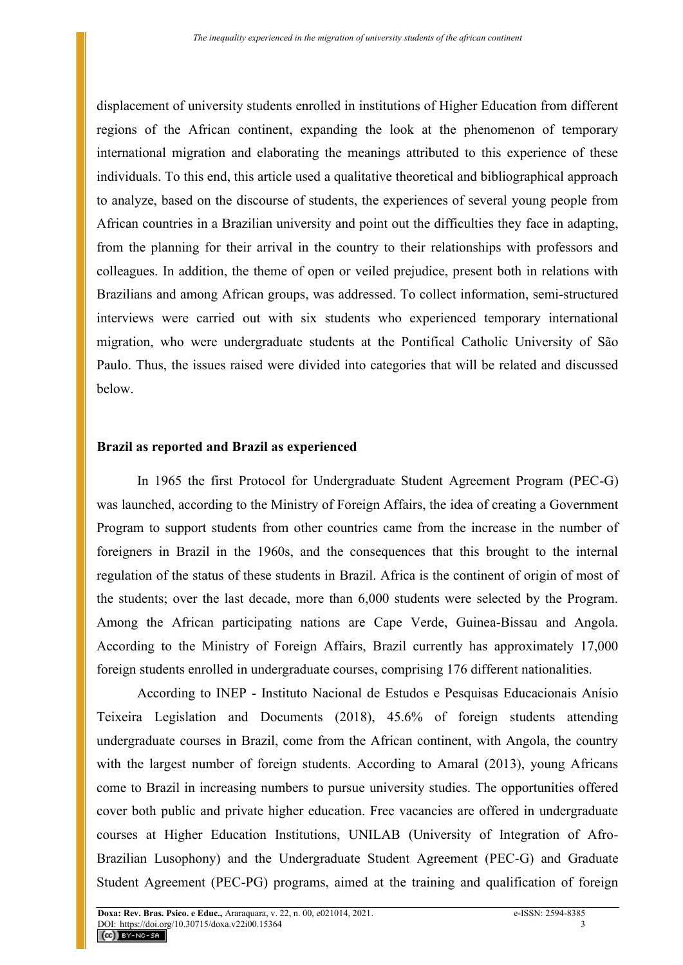displacement of university students enrolled in institutions of Higher Education from different regions of the African continent, expanding the look at the phenomenon of temporary international migration and elaborating the meanings attributed to this experience of these individuals. To this end, this article used a qualitative theoretical and bibliographical approach to analyze, based on the discourse of students, the experiences of several young people from African countries in a Brazilian university and point out the difficulties they face in adapting, from the planning for their arrival in the country to their relationships with professors and colleagues. In addition, the theme of open or veiled prejudice, present both in relations with Brazilians and among African groups, was addressed. To collect information, semi-structured interviews were carried out with six students who experienced temporary international migration, who were undergraduate students at the Pontifical Catholic University of São Paulo. Thus, the issues raised were divided into categories that will be related and discussed below.

#### **Brazil as reported and Brazil as experienced**

In 1965 the first Protocol for Undergraduate Student Agreement Program (PEC-G) was launched, according to the Ministry of Foreign Affairs, the idea of creating a Government Program to support students from other countries came from the increase in the number of foreigners in Brazil in the 1960s, and the consequences that this brought to the internal regulation of the status of these students in Brazil. Africa is the continent of origin of most of the students; over the last decade, more than 6,000 students were selected by the Program. Among the African participating nations are Cape Verde, Guinea-Bissau and Angola. According to the Ministry of Foreign Affairs, Brazil currently has approximately 17,000 foreign students enrolled in undergraduate courses, comprising 176 different nationalities.

According to INEP - Instituto Nacional de Estudos e Pesquisas Educacionais Anísio Teixeira Legislation and Documents (2018), 45.6% of foreign students attending undergraduate courses in Brazil, come from the African continent, with Angola, the country with the largest number of foreign students. According to Amaral (2013), young Africans come to Brazil in increasing numbers to pursue university studies. The opportunities offered cover both public and private higher education. Free vacancies are offered in undergraduate courses at Higher Education Institutions, UNILAB (University of Integration of Afro-Brazilian Lusophony) and the Undergraduate Student Agreement (PEC-G) and Graduate Student Agreement (PEC-PG) programs, aimed at the training and qualification of foreign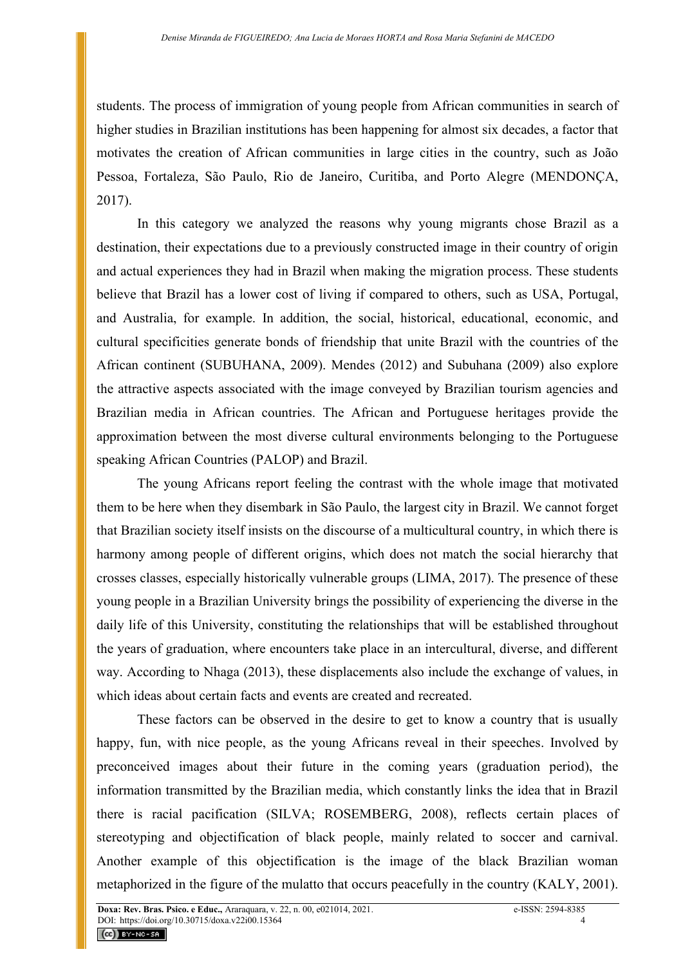students. The process of immigration of young people from African communities in search of higher studies in Brazilian institutions has been happening for almost six decades, a factor that motivates the creation of African communities in large cities in the country, such as João Pessoa, Fortaleza, São Paulo, Rio de Janeiro, Curitiba, and Porto Alegre (MENDONÇA, 2017).

In this category we analyzed the reasons why young migrants chose Brazil as a destination, their expectations due to a previously constructed image in their country of origin and actual experiences they had in Brazil when making the migration process. These students believe that Brazil has a lower cost of living if compared to others, such as USA, Portugal, and Australia, for example. In addition, the social, historical, educational, economic, and cultural specificities generate bonds of friendship that unite Brazil with the countries of the African continent (SUBUHANA, 2009). Mendes (2012) and Subuhana (2009) also explore the attractive aspects associated with the image conveyed by Brazilian tourism agencies and Brazilian media in African countries. The African and Portuguese heritages provide the approximation between the most diverse cultural environments belonging to the Portuguese speaking African Countries (PALOP) and Brazil.

The young Africans report feeling the contrast with the whole image that motivated them to be here when they disembark in São Paulo, the largest city in Brazil. We cannot forget that Brazilian society itself insists on the discourse of a multicultural country, in which there is harmony among people of different origins, which does not match the social hierarchy that crosses classes, especially historically vulnerable groups (LIMA, 2017). The presence of these young people in a Brazilian University brings the possibility of experiencing the diverse in the daily life of this University, constituting the relationships that will be established throughout the years of graduation, where encounters take place in an intercultural, diverse, and different way. According to Nhaga (2013), these displacements also include the exchange of values, in which ideas about certain facts and events are created and recreated.

These factors can be observed in the desire to get to know a country that is usually happy, fun, with nice people, as the young Africans reveal in their speeches. Involved by preconceived images about their future in the coming years (graduation period), the information transmitted by the Brazilian media, which constantly links the idea that in Brazil there is racial pacification (SILVA; ROSEMBERG, 2008), reflects certain places of stereotyping and objectification of black people, mainly related to soccer and carnival. Another example of this objectification is the image of the black Brazilian woman metaphorized in the figure of the mulatto that occurs peacefully in the country (KALY, 2001).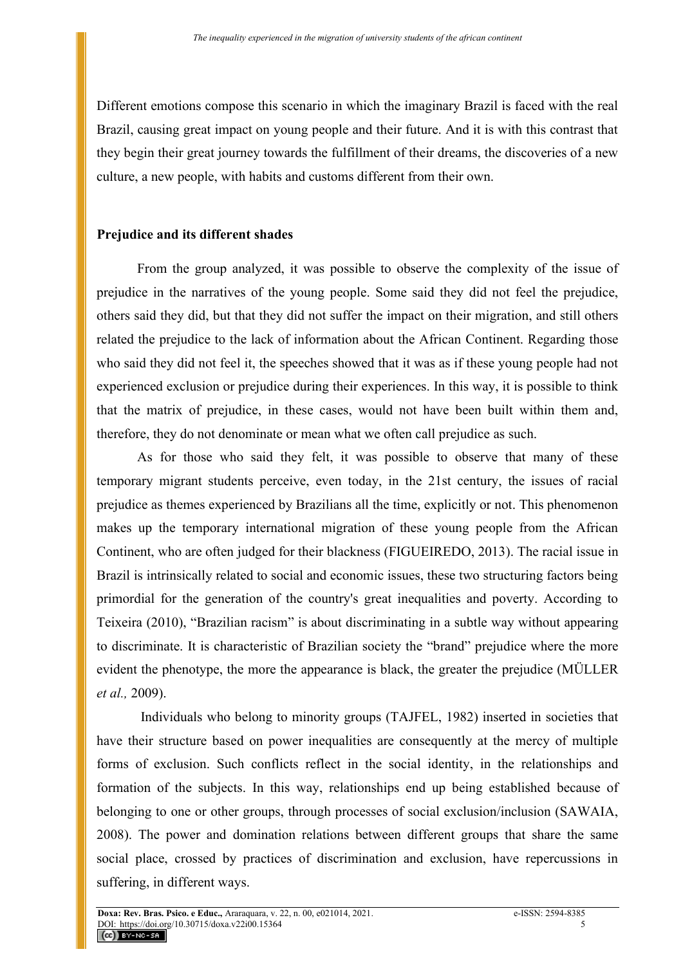Different emotions compose this scenario in which the imaginary Brazil is faced with the real Brazil, causing great impact on young people and their future. And it is with this contrast that they begin their great journey towards the fulfillment of their dreams, the discoveries of a new culture, a new people, with habits and customs different from their own.

# **Prejudice and its different shades**

From the group analyzed, it was possible to observe the complexity of the issue of prejudice in the narratives of the young people. Some said they did not feel the prejudice, others said they did, but that they did not suffer the impact on their migration, and still others related the prejudice to the lack of information about the African Continent. Regarding those who said they did not feel it, the speeches showed that it was as if these young people had not experienced exclusion or prejudice during their experiences. In this way, it is possible to think that the matrix of prejudice, in these cases, would not have been built within them and, therefore, they do not denominate or mean what we often call prejudice as such.

As for those who said they felt, it was possible to observe that many of these temporary migrant students perceive, even today, in the 21st century, the issues of racial prejudice as themes experienced by Brazilians all the time, explicitly or not. This phenomenon makes up the temporary international migration of these young people from the African Continent, who are often judged for their blackness (FIGUEIREDO, 2013). The racial issue in Brazil is intrinsically related to social and economic issues, these two structuring factors being primordial for the generation of the country's great inequalities and poverty. According to Teixeira (2010), "Brazilian racism" is about discriminating in a subtle way without appearing to discriminate. It is characteristic of Brazilian society the "brand" prejudice where the more evident the phenotype, the more the appearance is black, the greater the prejudice (MÜLLER *et al.,* 2009).

Individuals who belong to minority groups (TAJFEL, 1982) inserted in societies that have their structure based on power inequalities are consequently at the mercy of multiple forms of exclusion. Such conflicts reflect in the social identity, in the relationships and formation of the subjects. In this way, relationships end up being established because of belonging to one or other groups, through processes of social exclusion/inclusion (SAWAIA, 2008). The power and domination relations between different groups that share the same social place, crossed by practices of discrimination and exclusion, have repercussions in suffering, in different ways.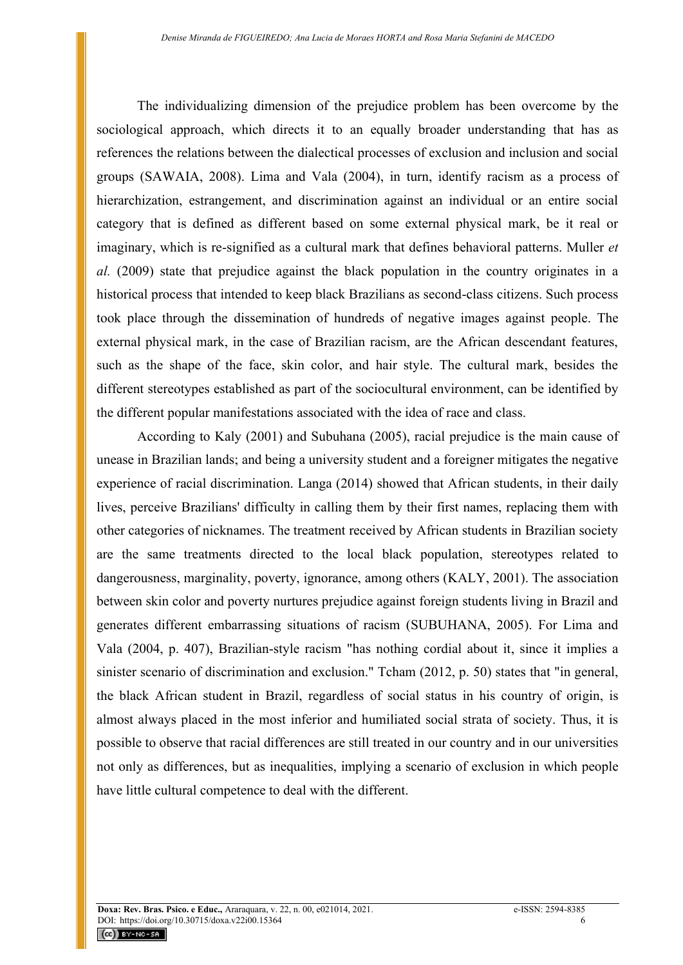The individualizing dimension of the prejudice problem has been overcome by the sociological approach, which directs it to an equally broader understanding that has as references the relations between the dialectical processes of exclusion and inclusion and social groups (SAWAIA, 2008). Lima and Vala (2004), in turn, identify racism as a process of hierarchization, estrangement, and discrimination against an individual or an entire social category that is defined as different based on some external physical mark, be it real or imaginary, which is re-signified as a cultural mark that defines behavioral patterns. Muller *et al.* (2009) state that prejudice against the black population in the country originates in a historical process that intended to keep black Brazilians as second-class citizens. Such process took place through the dissemination of hundreds of negative images against people. The external physical mark, in the case of Brazilian racism, are the African descendant features, such as the shape of the face, skin color, and hair style. The cultural mark, besides the different stereotypes established as part of the sociocultural environment, can be identified by the different popular manifestations associated with the idea of race and class.

According to Kaly (2001) and Subuhana (2005), racial prejudice is the main cause of unease in Brazilian lands; and being a university student and a foreigner mitigates the negative experience of racial discrimination. Langa (2014) showed that African students, in their daily lives, perceive Brazilians' difficulty in calling them by their first names, replacing them with other categories of nicknames. The treatment received by African students in Brazilian society are the same treatments directed to the local black population, stereotypes related to dangerousness, marginality, poverty, ignorance, among others (KALY, 2001). The association between skin color and poverty nurtures prejudice against foreign students living in Brazil and generates different embarrassing situations of racism (SUBUHANA, 2005). For Lima and Vala (2004, p. 407), Brazilian-style racism "has nothing cordial about it, since it implies a sinister scenario of discrimination and exclusion." Tcham (2012, p. 50) states that "in general, the black African student in Brazil, regardless of social status in his country of origin, is almost always placed in the most inferior and humiliated social strata of society. Thus, it is possible to observe that racial differences are still treated in our country and in our universities not only as differences, but as inequalities, implying a scenario of exclusion in which people have little cultural competence to deal with the different.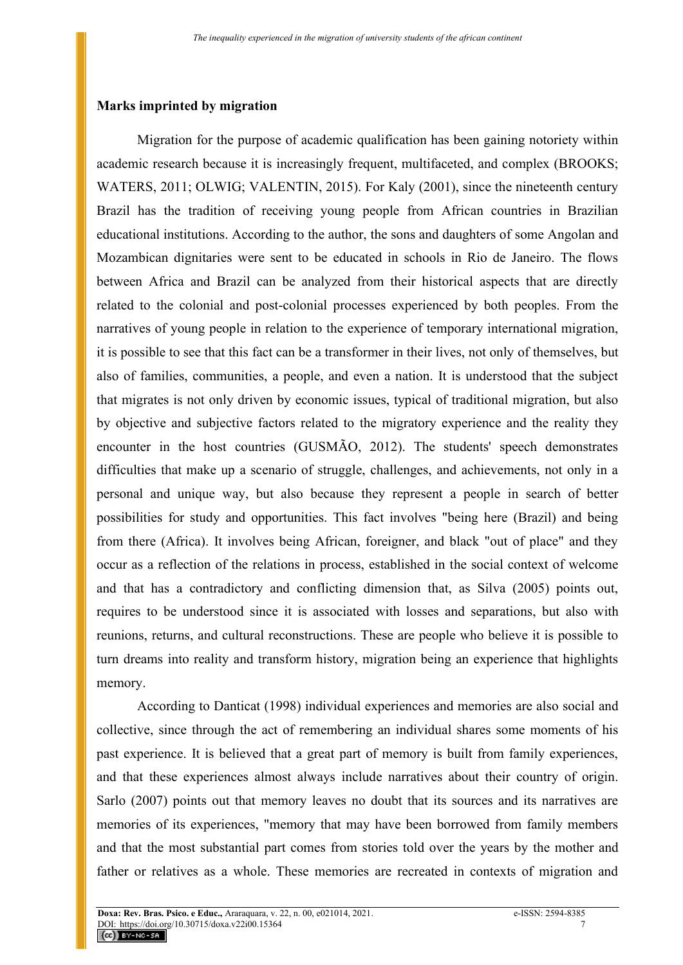# **Marks imprinted by migration**

Migration for the purpose of academic qualification has been gaining notoriety within academic research because it is increasingly frequent, multifaceted, and complex (BROOKS; WATERS, 2011; OLWIG; VALENTIN, 2015). For Kaly (2001), since the nineteenth century Brazil has the tradition of receiving young people from African countries in Brazilian educational institutions. According to the author, the sons and daughters of some Angolan and Mozambican dignitaries were sent to be educated in schools in Rio de Janeiro. The flows between Africa and Brazil can be analyzed from their historical aspects that are directly related to the colonial and post-colonial processes experienced by both peoples. From the narratives of young people in relation to the experience of temporary international migration, it is possible to see that this fact can be a transformer in their lives, not only of themselves, but also of families, communities, a people, and even a nation. It is understood that the subject that migrates is not only driven by economic issues, typical of traditional migration, but also by objective and subjective factors related to the migratory experience and the reality they encounter in the host countries (GUSMÃO, 2012). The students' speech demonstrates difficulties that make up a scenario of struggle, challenges, and achievements, not only in a personal and unique way, but also because they represent a people in search of better possibilities for study and opportunities. This fact involves "being here (Brazil) and being from there (Africa). It involves being African, foreigner, and black "out of place" and they occur as a reflection of the relations in process, established in the social context of welcome and that has a contradictory and conflicting dimension that, as Silva (2005) points out, requires to be understood since it is associated with losses and separations, but also with reunions, returns, and cultural reconstructions. These are people who believe it is possible to turn dreams into reality and transform history, migration being an experience that highlights memory.

According to Danticat (1998) individual experiences and memories are also social and collective, since through the act of remembering an individual shares some moments of his past experience. It is believed that a great part of memory is built from family experiences, and that these experiences almost always include narratives about their country of origin. Sarlo (2007) points out that memory leaves no doubt that its sources and its narratives are memories of its experiences, "memory that may have been borrowed from family members and that the most substantial part comes from stories told over the years by the mother and father or relatives as a whole. These memories are recreated in contexts of migration and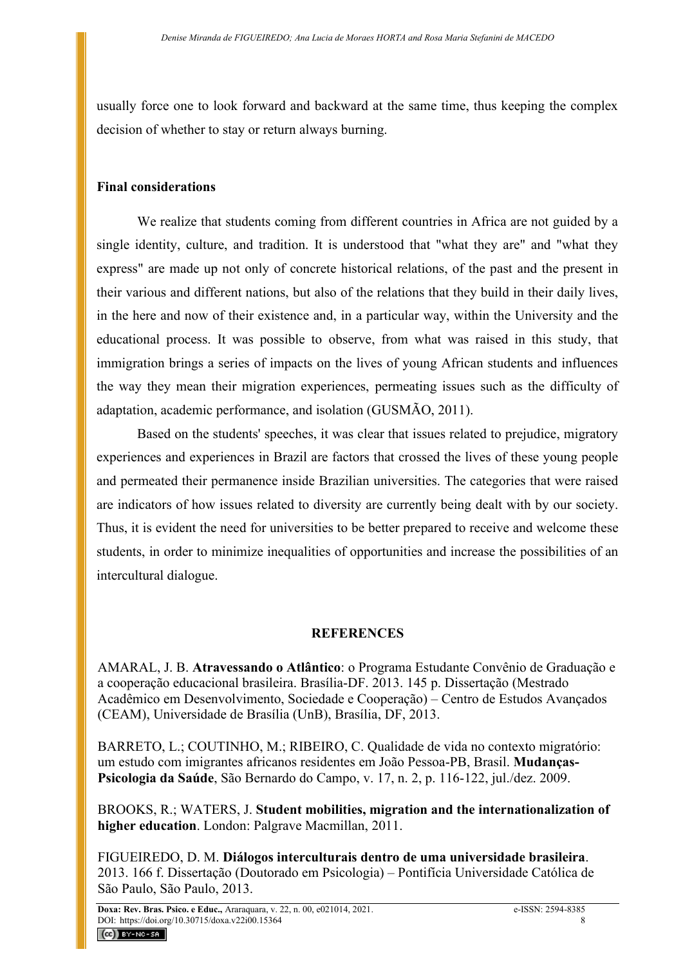usually force one to look forward and backward at the same time, thus keeping the complex decision of whether to stay or return always burning.

# **Final considerations**

We realize that students coming from different countries in Africa are not guided by a single identity, culture, and tradition. It is understood that "what they are" and "what they express" are made up not only of concrete historical relations, of the past and the present in their various and different nations, but also of the relations that they build in their daily lives, in the here and now of their existence and, in a particular way, within the University and the educational process. It was possible to observe, from what was raised in this study, that immigration brings a series of impacts on the lives of young African students and influences the way they mean their migration experiences, permeating issues such as the difficulty of adaptation, academic performance, and isolation (GUSMÃO, 2011).

Based on the students' speeches, it was clear that issues related to prejudice, migratory experiences and experiences in Brazil are factors that crossed the lives of these young people and permeated their permanence inside Brazilian universities. The categories that were raised are indicators of how issues related to diversity are currently being dealt with by our society. Thus, it is evident the need for universities to be better prepared to receive and welcome these students, in order to minimize inequalities of opportunities and increase the possibilities of an intercultural dialogue.

### **REFERENCES**

AMARAL, J. B. **Atravessando o Atlântico**: o Programa Estudante Convênio de Graduação e a cooperação educacional brasileira. Brasília-DF. 2013. 145 p. Dissertação (Mestrado Acadêmico em Desenvolvimento, Sociedade e Cooperação) – Centro de Estudos Avançados (CEAM), Universidade de Brasília (UnB), Brasília, DF, 2013.

BARRETO, L.; COUTINHO, M.; RIBEIRO, C. Qualidade de vida no contexto migratório: um estudo com imigrantes africanos residentes em João Pessoa-PB, Brasil. **Mudanças-Psicologia da Saúde**, São Bernardo do Campo, v. 17, n. 2, p. 116-122, jul./dez. 2009.

BROOKS, R.; WATERS, J. **Student mobilities, migration and the internationalization of higher education**. London: Palgrave Macmillan, 2011.

FIGUEIREDO, D. M. **Diálogos interculturais dentro de uma universidade brasileira**. 2013. 166 f. Dissertação (Doutorado em Psicologia) – Pontifícia Universidade Católica de São Paulo, São Paulo, 2013.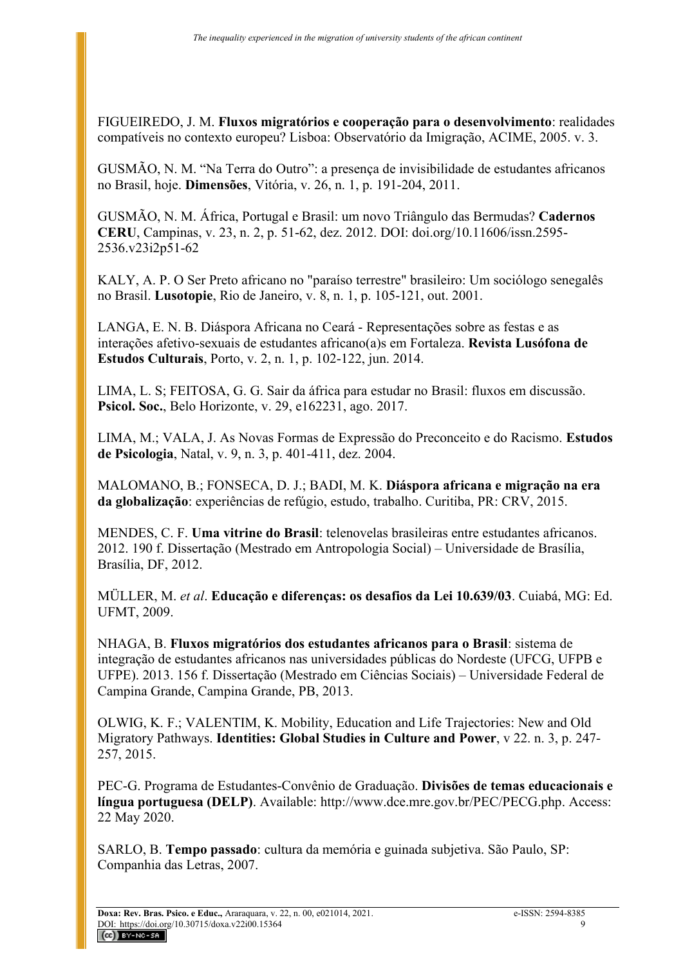FIGUEIREDO, J. M. **Fluxos migratórios e cooperação para o desenvolvimento**: realidades compatíveis no contexto europeu? Lisboa: Observatório da Imigração, ACIME, 2005. v. 3.

GUSMÃO, N. M. "Na Terra do Outro": a presença de invisibilidade de estudantes africanos no Brasil, hoje. **Dimensões**, Vitória, v. 26, n. 1, p. 191-204, 2011.

GUSMÃO, N. M. África, Portugal e Brasil: um novo Triângulo das Bermudas? **Cadernos CERU**, Campinas, v. 23, n. 2, p. 51-62, dez. 2012. DOI: doi.org/10.11606/issn.2595- 2536.v23i2p51-62

KALY, A. P. O Ser Preto africano no "paraíso terrestre" brasileiro: Um sociólogo senegalês no Brasil. **Lusotopie**, Rio de Janeiro, v. 8, n. 1, p. 105-121, out. 2001.

LANGA, E. N. B. Diáspora Africana no Ceará - Representações sobre as festas e as interações afetivo-sexuais de estudantes africano(a)s em Fortaleza. **Revista Lusófona de Estudos Culturais**, Porto, v. 2, n. 1, p. 102-122, jun. 2014.

LIMA, L. S; FEITOSA, G. G. Sair da áfrica para estudar no Brasil: fluxos em discussão. **Psicol. Soc.**, Belo Horizonte, v. 29, e162231, ago. 2017.

LIMA, M.; VALA, J. As Novas Formas de Expressão do Preconceito e do Racismo. **Estudos de Psicologia**, Natal, v. 9, n. 3, p. 401-411, dez. 2004.

MALOMANO, B.; FONSECA, D. J.; BADI, M. K. **Diáspora africana e migração na era da globalização**: experiências de refúgio, estudo, trabalho. Curitiba, PR: CRV, 2015.

MENDES, C. F. **Uma vitrine do Brasil**: telenovelas brasileiras entre estudantes africanos. 2012. 190 f. Dissertação (Mestrado em Antropologia Social) – Universidade de Brasília, Brasília, DF, 2012.

MÜLLER, M. *et al*. **Educação e diferenças: os desafios da Lei 10.639/03**. Cuiabá, MG: Ed. UFMT, 2009.

NHAGA, B. **Fluxos migratórios dos estudantes africanos para o Brasil**: sistema de integração de estudantes africanos nas universidades públicas do Nordeste (UFCG, UFPB e UFPE). 2013. 156 f. Dissertação (Mestrado em Ciências Sociais) – Universidade Federal de Campina Grande, Campina Grande, PB, 2013.

OLWIG, K. F.; VALENTIM, K. Mobility, Education and Life Trajectories: New and Old Migratory Pathways. **Identities: Global Studies in Culture and Power**, v 22. n. 3, p. 247- 257, 2015.

PEC-G. Programa de Estudantes-Convênio de Graduação. **Divisões de temas educacionais e língua portuguesa (DELP)**. Available: http://www.dce.mre.gov.br/PEC/PECG.php. Access: 22 May 2020.

SARLO, B. **Tempo passado**: cultura da memória e guinada subjetiva. São Paulo, SP: Companhia das Letras, 2007.